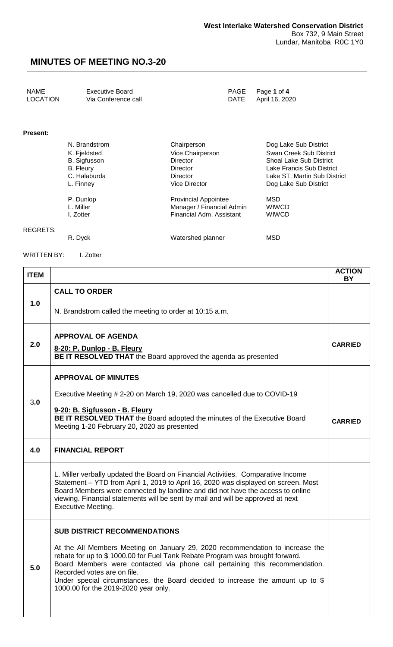| NAME            | <b>Executive Board</b> | PAGE Page 1 of 4    |
|-----------------|------------------------|---------------------|
| <b>LOCATION</b> | Via Conference call    | DATE April 16, 2020 |
|                 |                        |                     |

#### **Present:**

REGRETS:

| N. Brandstrom       | Chairperson                 | Dog Lake Sub District          |
|---------------------|-----------------------------|--------------------------------|
| K. Fjeldsted        | Vice Chairperson            | Swan Creek Sub District        |
| <b>B.</b> Sigfusson | Director                    | <b>Shoal Lake Sub District</b> |
| <b>B.</b> Fleury    | Director                    | Lake Francis Sub District      |
| C. Halaburda        | Director                    | Lake ST. Martin Sub District   |
| L. Finney           | <b>Vice Director</b>        | Dog Lake Sub District          |
| P. Dunlop           | <b>Provincial Appointee</b> | MSD                            |
| L. Miller           | Manager / Financial Admin   | <b>WIWCD</b>                   |
| I. Zotter           | Financial Adm. Assistant    | <b>WIWCD</b>                   |
| R. Dyck             | Watershed planner           | MSD                            |

WRITTEN BY: I. Zotter

| <b>ITEM</b> |                                                                                                                                                                                                                                                                                                                                                                                                       | <b>ACTION</b><br><b>BY</b> |
|-------------|-------------------------------------------------------------------------------------------------------------------------------------------------------------------------------------------------------------------------------------------------------------------------------------------------------------------------------------------------------------------------------------------------------|----------------------------|
|             | <b>CALL TO ORDER</b>                                                                                                                                                                                                                                                                                                                                                                                  |                            |
| 1.0         | N. Brandstrom called the meeting to order at 10:15 a.m.                                                                                                                                                                                                                                                                                                                                               |                            |
|             | <b>APPROVAL OF AGENDA</b>                                                                                                                                                                                                                                                                                                                                                                             |                            |
| 2.0         | 8-20: P. Dunlop - B. Fleury<br>BE IT RESOLVED THAT the Board approved the agenda as presented                                                                                                                                                                                                                                                                                                         | <b>CARRIED</b>             |
|             | <b>APPROVAL OF MINUTES</b>                                                                                                                                                                                                                                                                                                                                                                            |                            |
| 3.0         | Executive Meeting # 2-20 on March 19, 2020 was cancelled due to COVID-19                                                                                                                                                                                                                                                                                                                              |                            |
|             | 9-20: B. Sigfusson - B. Fleury<br>BE IT RESOLVED THAT the Board adopted the minutes of the Executive Board<br>Meeting 1-20 February 20, 2020 as presented                                                                                                                                                                                                                                             | <b>CARRIED</b>             |
| 4.0         | <b>FINANCIAL REPORT</b>                                                                                                                                                                                                                                                                                                                                                                               |                            |
|             | L. Miller verbally updated the Board on Financial Activities. Comparative Income<br>Statement - YTD from April 1, 2019 to April 16, 2020 was displayed on screen. Most<br>Board Members were connected by landline and did not have the access to online<br>viewing. Financial statements will be sent by mail and will be approved at next<br><b>Executive Meeting.</b>                              |                            |
|             | <b>SUB DISTRICT RECOMMENDATIONS</b>                                                                                                                                                                                                                                                                                                                                                                   |                            |
| 5.0         | At the All Members Meeting on January 29, 2020 recommendation to increase the<br>rebate for up to \$1000.00 for Fuel Tank Rebate Program was brought forward.<br>Board Members were contacted via phone call pertaining this recommendation.<br>Recorded votes are on file.<br>Under special circumstances, the Board decided to increase the amount up to \$<br>1000.00 for the 2019-2020 year only. |                            |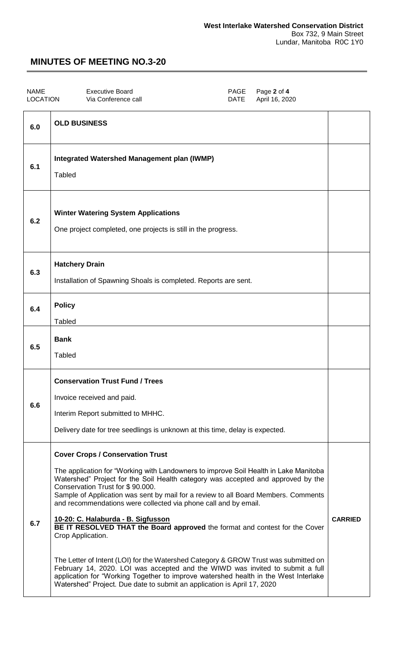| <b>NAME</b>     | Executive Board     | PAGE Page 2 of 4    |
|-----------------|---------------------|---------------------|
| <b>LOCATION</b> | Via Conference call | DATE April 16, 2020 |

| 6.0 | <b>OLD BUSINESS</b>                                                                                                                                                                                                                                                                                                                                                                                                                                                                                                                                                                                                                                                                                                                                                                                                                                                                                  |                |
|-----|------------------------------------------------------------------------------------------------------------------------------------------------------------------------------------------------------------------------------------------------------------------------------------------------------------------------------------------------------------------------------------------------------------------------------------------------------------------------------------------------------------------------------------------------------------------------------------------------------------------------------------------------------------------------------------------------------------------------------------------------------------------------------------------------------------------------------------------------------------------------------------------------------|----------------|
| 6.1 | Integrated Watershed Management plan (IWMP)<br><b>Tabled</b>                                                                                                                                                                                                                                                                                                                                                                                                                                                                                                                                                                                                                                                                                                                                                                                                                                         |                |
| 6.2 | <b>Winter Watering System Applications</b><br>One project completed, one projects is still in the progress.                                                                                                                                                                                                                                                                                                                                                                                                                                                                                                                                                                                                                                                                                                                                                                                          |                |
| 6.3 | <b>Hatchery Drain</b><br>Installation of Spawning Shoals is completed. Reports are sent.                                                                                                                                                                                                                                                                                                                                                                                                                                                                                                                                                                                                                                                                                                                                                                                                             |                |
| 6.4 | <b>Policy</b><br><b>Tabled</b>                                                                                                                                                                                                                                                                                                                                                                                                                                                                                                                                                                                                                                                                                                                                                                                                                                                                       |                |
| 6.5 | <b>Bank</b><br><b>Tabled</b>                                                                                                                                                                                                                                                                                                                                                                                                                                                                                                                                                                                                                                                                                                                                                                                                                                                                         |                |
| 6.6 | <b>Conservation Trust Fund / Trees</b><br>Invoice received and paid.<br>Interim Report submitted to MHHC.<br>Delivery date for tree seedlings is unknown at this time, delay is expected.                                                                                                                                                                                                                                                                                                                                                                                                                                                                                                                                                                                                                                                                                                            |                |
| 6.7 | <b>Cover Crops / Conservation Trust</b><br>The application for "Working with Landowners to improve Soil Health in Lake Manitoba<br>Watershed" Project for the Soil Health category was accepted and approved by the<br>Conservation Trust for \$90.000.<br>Sample of Application was sent by mail for a review to all Board Members. Comments<br>and recommendations were collected via phone call and by email.<br>10-20: C. Halaburda - B. Sigfusson<br>BE IT RESOLVED THAT the Board approved the format and contest for the Cover<br>Crop Application.<br>The Letter of Intent (LOI) for the Watershed Category & GROW Trust was submitted on<br>February 14, 2020. LOI was accepted and the WIWD was invited to submit a full<br>application for "Working Together to improve watershed health in the West Interlake<br>Watershed" Project. Due date to submit an application is April 17, 2020 | <b>CARRIED</b> |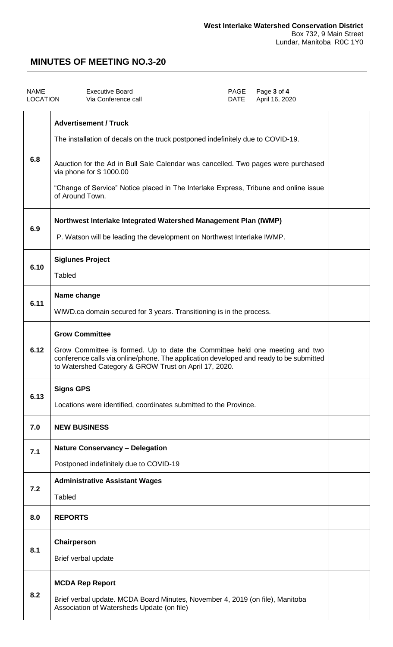| <b>NAME</b><br><b>LOCATION</b> | <b>Executive Board</b><br>Via Conference call                                                                                                                                                                                  | PAGE<br><b>DATE</b> | Page 3 of 4<br>April 16, 2020 |  |
|--------------------------------|--------------------------------------------------------------------------------------------------------------------------------------------------------------------------------------------------------------------------------|---------------------|-------------------------------|--|
|                                | <b>Advertisement / Truck</b><br>The installation of decals on the truck postponed indefinitely due to COVID-19.                                                                                                                |                     |                               |  |
| 6.8                            | Aauction for the Ad in Bull Sale Calendar was cancelled. Two pages were purchased<br>via phone for \$1000.00                                                                                                                   |                     |                               |  |
|                                | "Change of Service" Notice placed in The Interlake Express, Tribune and online issue<br>of Around Town.                                                                                                                        |                     |                               |  |
| 6.9                            | Northwest Interlake Integrated Watershed Management Plan (IWMP)                                                                                                                                                                |                     |                               |  |
|                                | P. Watson will be leading the development on Northwest Interlake IWMP.                                                                                                                                                         |                     |                               |  |
| 6.10                           | <b>Siglunes Project</b>                                                                                                                                                                                                        |                     |                               |  |
|                                | <b>Tabled</b>                                                                                                                                                                                                                  |                     |                               |  |
| 6.11                           | Name change                                                                                                                                                                                                                    |                     |                               |  |
|                                | WIWD.ca domain secured for 3 years. Transitioning is in the process.                                                                                                                                                           |                     |                               |  |
|                                | <b>Grow Committee</b>                                                                                                                                                                                                          |                     |                               |  |
| 6.12                           | Grow Committee is formed. Up to date the Committee held one meeting and two<br>conference calls via online/phone. The application developed and ready to be submitted<br>to Watershed Category & GROW Trust on April 17, 2020. |                     |                               |  |
| 6.13                           | <b>Signs GPS</b>                                                                                                                                                                                                               |                     |                               |  |
|                                | Locations were identified, coordinates submitted to the Province.                                                                                                                                                              |                     |                               |  |
| 7.0                            | <b>NEW BUSINESS</b>                                                                                                                                                                                                            |                     |                               |  |
| 7.1                            | <b>Nature Conservancy - Delegation</b>                                                                                                                                                                                         |                     |                               |  |
|                                | Postponed indefinitely due to COVID-19                                                                                                                                                                                         |                     |                               |  |
| 7.2                            | <b>Administrative Assistant Wages</b><br>Tabled                                                                                                                                                                                |                     |                               |  |
| 8.0                            | <b>REPORTS</b>                                                                                                                                                                                                                 |                     |                               |  |
|                                | Chairperson                                                                                                                                                                                                                    |                     |                               |  |
| 8.1                            | Brief verbal update                                                                                                                                                                                                            |                     |                               |  |
|                                | <b>MCDA Rep Report</b>                                                                                                                                                                                                         |                     |                               |  |
| 8.2                            | Brief verbal update. MCDA Board Minutes, November 4, 2019 (on file), Manitoba<br>Association of Watersheds Update (on file)                                                                                                    |                     |                               |  |